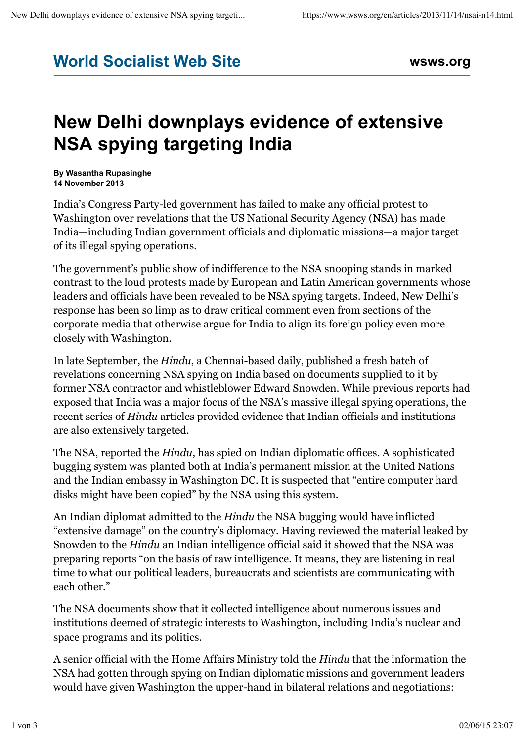## **World Socialist Web Site wsws.org**

## **New Delhi downplays evidence of extensive NSA spying targeting India**

**By Wasantha Rupasinghe 14 November 2013**

India's Congress Party-led government has failed to make any official protest to Washington over revelations that the US National Security Agency (NSA) has made India—including Indian government officials and diplomatic missions—a major target of its illegal spying operations.

The government's public show of indifference to the NSA snooping stands in marked contrast to the loud protests made by European and Latin American governments whose leaders and officials have been revealed to be NSA spying targets. Indeed, New Delhi's response has been so limp as to draw critical comment even from sections of the corporate media that otherwise argue for India to align its foreign policy even more closely with Washington.

In late September, the *Hindu*, a Chennai-based daily, published a fresh batch of revelations concerning NSA spying on India based on documents supplied to it by former NSA contractor and whistleblower Edward Snowden. While previous reports had exposed that India was a major focus of the NSA's massive illegal spying operations, the recent series of *Hindu* articles provided evidence that Indian officials and institutions are also extensively targeted.

The NSA, reported the *Hindu*, has spied on Indian diplomatic offices. A sophisticated bugging system was planted both at India's permanent mission at the United Nations and the Indian embassy in Washington DC. It is suspected that "entire computer hard disks might have been copied" by the NSA using this system.

An Indian diplomat admitted to the *Hindu* the NSA bugging would have inflicted "extensive damage" on the country's diplomacy. Having reviewed the material leaked by Snowden to the *Hindu* an Indian intelligence official said it showed that the NSA was preparing reports "on the basis of raw intelligence. It means, they are listening in real time to what our political leaders, bureaucrats and scientists are communicating with each other."

The NSA documents show that it collected intelligence about numerous issues and institutions deemed of strategic interests to Washington, including India's nuclear and space programs and its politics.

A senior official with the Home Affairs Ministry told the *Hindu* that the information the NSA had gotten through spying on Indian diplomatic missions and government leaders would have given Washington the upper-hand in bilateral relations and negotiations: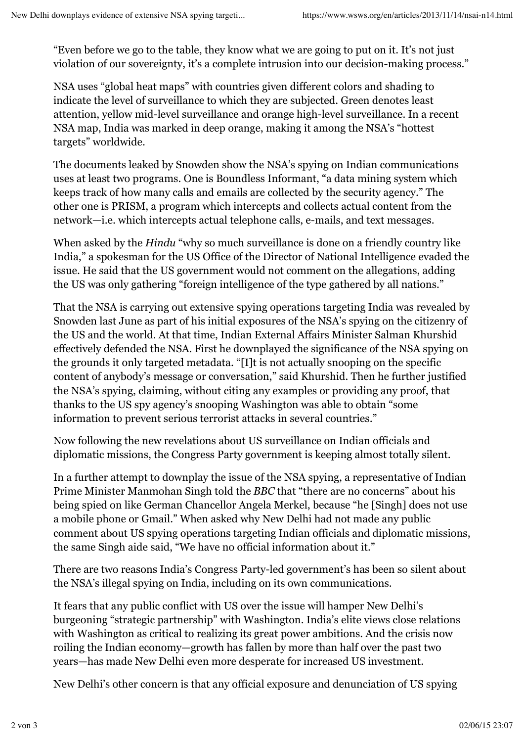"Even before we go to the table, they know what we are going to put on it. It's not just violation of our sovereignty, it's a complete intrusion into our decision-making process."

NSA uses "global heat maps" with countries given different colors and shading to indicate the level of surveillance to which they are subjected. Green denotes least attention, yellow mid-level surveillance and orange high-level surveillance. In a recent NSA map, India was marked in deep orange, making it among the NSA's "hottest targets" worldwide.

The documents leaked by Snowden show the NSA's spying on Indian communications uses at least two programs. One is Boundless Informant, "a data mining system which keeps track of how many calls and emails are collected by the security agency." The other one is PRISM, a program which intercepts and collects actual content from the network—i.e. which intercepts actual telephone calls, e-mails, and text messages.

When asked by the *Hindu* "why so much surveillance is done on a friendly country like India," a spokesman for the US Office of the Director of National Intelligence evaded the issue. He said that the US government would not comment on the allegations, adding the US was only gathering "foreign intelligence of the type gathered by all nations."

That the NSA is carrying out extensive spying operations targeting India was revealed by Snowden last June as part of his initial exposures of the NSA's spying on the citizenry of the US and the world. At that time, Indian External Affairs Minister Salman Khurshid effectively defended the NSA. First he downplayed the significance of the NSA spying on the grounds it only targeted metadata. "[I]t is not actually snooping on the specific content of anybody's message or conversation," said Khurshid. Then he further justified the NSA's spying, claiming, without citing any examples or providing any proof, that thanks to the US spy agency's snooping Washington was able to obtain "some information to prevent serious terrorist attacks in several countries."

Now following the new revelations about US surveillance on Indian officials and diplomatic missions, the Congress Party government is keeping almost totally silent.

In a further attempt to downplay the issue of the NSA spying, a representative of Indian Prime Minister Manmohan Singh told the *BBC* that "there are no concerns" about his being spied on like German Chancellor Angela Merkel, because "he [Singh] does not use a mobile phone or Gmail." When asked why New Delhi had not made any public comment about US spying operations targeting Indian officials and diplomatic missions, the same Singh aide said, "We have no official information about it."

There are two reasons India's Congress Party-led government's has been so silent about the NSA's illegal spying on India, including on its own communications.

It fears that any public conflict with US over the issue will hamper New Delhi's burgeoning "strategic partnership" with Washington. India's elite views close relations with Washington as critical to realizing its great power ambitions. And the crisis now roiling the Indian economy—growth has fallen by more than half over the past two years—has made New Delhi even more desperate for increased US investment.

New Delhi's other concern is that any official exposure and denunciation of US spying